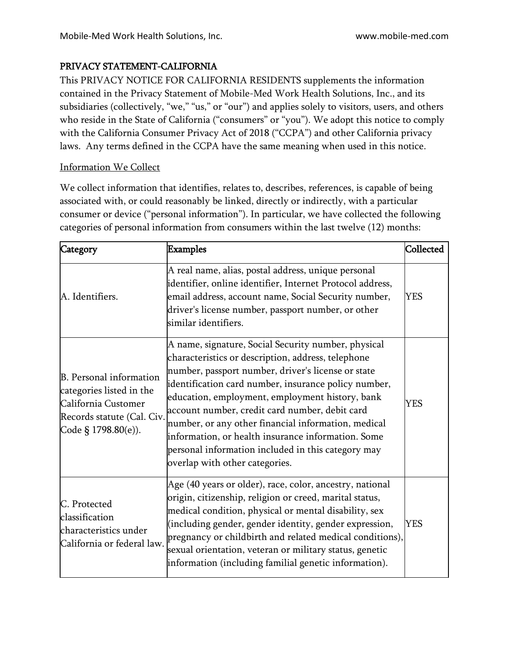# PRIVACY STATEMENT-CALIFORNIA

This PRIVACY NOTICE FOR CALIFORNIA RESIDENTS supplements the information contained in the Privacy Statement of Mobile-Med Work Health Solutions, Inc., and its subsidiaries (collectively, "we," "us," or "our") and applies solely to visitors, users, and others who reside in the State of California ("consumers" or "you"). We adopt this notice to comply with the California Consumer Privacy Act of 2018 ("CCPA") and other California privacy laws. Any terms defined in the CCPA have the same meaning when used in this notice.

## Information We Collect

We collect information that identifies, relates to, describes, references, is capable of being associated with, or could reasonably be linked, directly or indirectly, with a particular consumer or device ("personal information"). In particular, we have collected the following categories of personal information from consumers within the last twelve (12) months:

| Category                                                                                                                        | Examples                                                                                                                                                                                                                                                                                                                                                                                                                                                                                                                          | Collected  |
|---------------------------------------------------------------------------------------------------------------------------------|-----------------------------------------------------------------------------------------------------------------------------------------------------------------------------------------------------------------------------------------------------------------------------------------------------------------------------------------------------------------------------------------------------------------------------------------------------------------------------------------------------------------------------------|------------|
| A. Identifiers.                                                                                                                 | A real name, alias, postal address, unique personal<br>identifier, online identifier, Internet Protocol address,<br>email address, account name, Social Security number,<br>driver's license number, passport number, or other<br>similar identifiers.                                                                                                                                                                                                                                                                            | YES        |
| B. Personal information<br>categories listed in the<br>California Customer<br>Records statute (Cal. Civ.<br>Code § 1798.80(e)). | A name, signature, Social Security number, physical<br>characteristics or description, address, telephone<br>number, passport number, driver's license or state<br>identification card number, insurance policy number,<br>education, employment, employment history, bank<br>account number, credit card number, debit card<br>number, or any other financial information, medical<br>information, or health insurance information. Some<br>personal information included in this category may<br>overlap with other categories. | <b>YES</b> |
| C. Protected<br>classification<br>characteristics under<br>California or federal law.                                           | Age (40 years or older), race, color, ancestry, national<br>origin, citizenship, religion or creed, marital status,<br>medical condition, physical or mental disability, sex<br>(including gender, gender identity, gender expression,<br>pregnancy or childbirth and related medical conditions),<br>sexual orientation, veteran or military status, genetic<br>information (including familial genetic information).                                                                                                            | <b>YES</b> |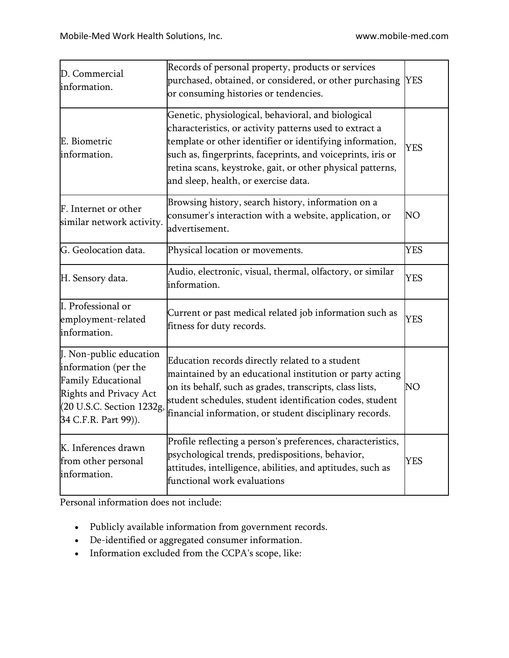| D. Commercial<br>information.                                                                                                                               | Records of personal property, products or services<br>purchased, obtained, or considered, or other purchasing<br>or consuming histories or tendencies.                                                                                                                                                                                         | <b>YES</b> |
|-------------------------------------------------------------------------------------------------------------------------------------------------------------|------------------------------------------------------------------------------------------------------------------------------------------------------------------------------------------------------------------------------------------------------------------------------------------------------------------------------------------------|------------|
| E. Biometric<br>information.                                                                                                                                | Genetic, physiological, behavioral, and biological<br>characteristics, or activity patterns used to extract a<br>template or other identifier or identifying information,<br>such as, fingerprints, faceprints, and voiceprints, iris or<br>retina scans, keystroke, gait, or other physical patterns,<br>and sleep, health, or exercise data. | <b>YES</b> |
| F. Internet or other<br>similar network activity.                                                                                                           | Browsing history, search history, information on a<br>consumer's interaction with a website, application, or<br>advertisement.                                                                                                                                                                                                                 | NO         |
| G. Geolocation data.                                                                                                                                        | Physical location or movements.                                                                                                                                                                                                                                                                                                                | <b>YES</b> |
| H. Sensory data.                                                                                                                                            | Audio, electronic, visual, thermal, olfactory, or similar<br>information.                                                                                                                                                                                                                                                                      | <b>YES</b> |
| I. Professional or<br>employment-related<br>information.                                                                                                    | Current or past medical related job information such as<br>fitness for duty records.                                                                                                                                                                                                                                                           | <b>YES</b> |
| J. Non-public education<br>information (per the<br><b>Family Educational</b><br>Rights and Privacy Act<br>(20 U.S.C. Section 1232g,<br>34 C.F.R. Part 99)). | Education records directly related to a student<br>maintained by an educational institution or party acting<br>on its behalf, such as grades, transcripts, class lists,<br>student schedules, student identification codes, student<br>financial information, or student disciplinary records.                                                 | NO         |
| K. Inferences drawn<br>from other personal<br>information.                                                                                                  | Profile reflecting a person's preferences, characteristics,<br>psychological trends, predispositions, behavior,<br>attitudes, intelligence, abilities, and aptitudes, such as<br>functional work evaluations                                                                                                                                   | <b>YES</b> |

Personal information does not include:

- Publicly available information from government records.
- De-identified or aggregated consumer information.
- Information excluded from the CCPA's scope, like: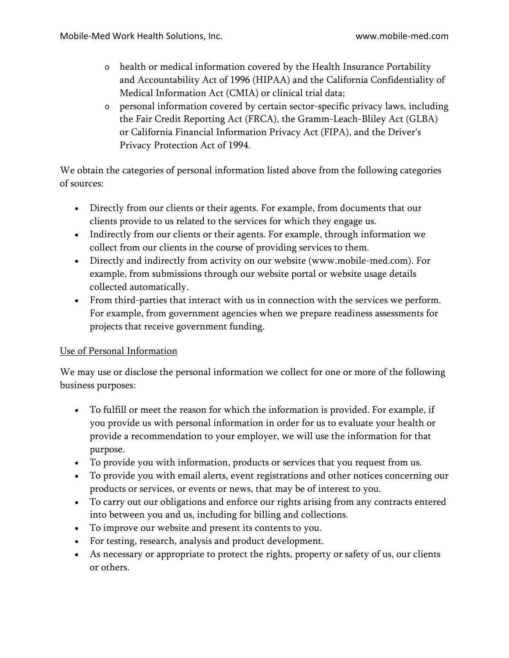- o health or medical information covered by the Health Insurance Portability and Accountability Act of 1996 (HIPAA) and the California Confidentiality of Medical Information Act (CMIA) or clinical trial data;
- o personal information covered by certain sector-specific privacy laws, including the Fair Credit Reporting Act (FRCA), the Gramm-Leach-Bliley Act (GLBA) or California Financial Information Privacy Act (FIPA), and the Driver's Privacy Protection Act of 1994.

We obtain the categories of personal information listed above from the following categories of sources:

- Directly from our clients or their agents. For example, from documents that our clients provide to us related to the services for which they engage us.
- Indirectly from our clients or their agents. For example, through information we collect from our clients in the course of providing services to them.
- Directly and indirectly from activity on our website (www.mobile-med.com). For example, from submissions through our website portal or website usage details collected automatically.
- From third-parties that interact with us in connection with the services we perform. For example, from government agencies when we prepare readiness assessments for projects that receive government funding.

## Use of Personal Information

We may use or disclose the personal information we collect for one or more of the following business purposes:

- To fulfill or meet the reason for which the information is provided. For example, if you provide us with personal information in order for us to evaluate your health or provide a recommendation to your employer, we will use the information for that purpose.
- To provide you with information, products or services that you request from us.
- To provide you with email alerts, event registrations and other notices concerning our products or services, or events or news, that may be of interest to you.
- To carry out our obligations and enforce our rights arising from any contracts entered into between you and us, including for billing and collections.
- To improve our website and present its contents to you.
- For testing, research, analysis and product development.
- As necessary or appropriate to protect the rights, property or safety of us, our clients or others.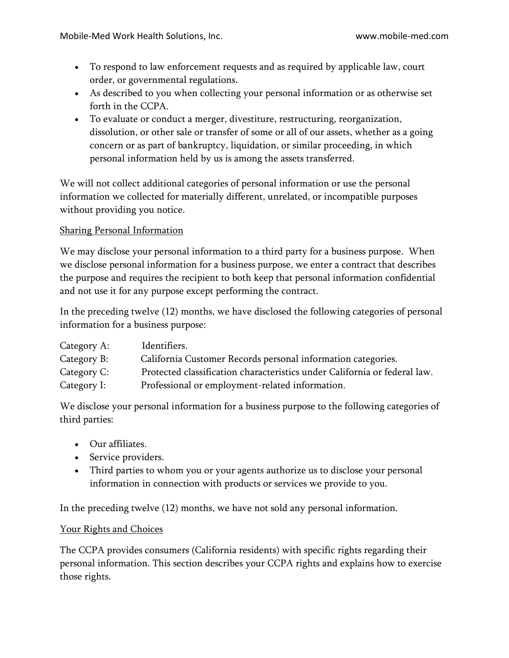- To respond to law enforcement requests and as required by applicable law, court order, or governmental regulations.
- As described to you when collecting your personal information or as otherwise set forth in the CCPA.
- To evaluate or conduct a merger, divestiture, restructuring, reorganization, dissolution, or other sale or transfer of some or all of our assets, whether as a going concern or as part of bankruptcy, liquidation, or similar proceeding, in which personal information held by us is among the assets transferred.

We will not collect additional categories of personal information or use the personal information we collected for materially different, unrelated, or incompatible purposes without providing you notice.

# Sharing Personal Information

We may disclose your personal information to a third party for a business purpose. When we disclose personal information for a business purpose, we enter a contract that describes the purpose and requires the recipient to both keep that personal information confidential and not use it for any purpose except performing the contract.

In the preceding twelve (12) months, we have disclosed the following categories of personal information for a business purpose:

| Category A: | Identifiers.                                                              |
|-------------|---------------------------------------------------------------------------|
| Category B: | California Customer Records personal information categories.              |
| Category C: | Protected classification characteristics under California or federal law. |
| Category I: | Professional or employment-related information.                           |

We disclose your personal information for a business purpose to the following categories of third parties:

- Our affiliates.
- Service providers.
- Third parties to whom you or your agents authorize us to disclose your personal information in connection with products or services we provide to you.

In the preceding twelve (12) months, we have not sold any personal information.

## Your Rights and Choices

The CCPA provides consumers (California residents) with specific rights regarding their personal information. This section describes your CCPA rights and explains how to exercise those rights.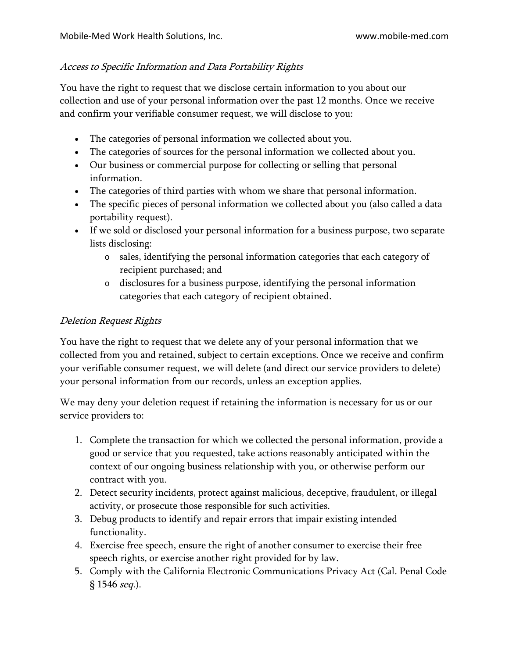# Access to Specific Information and Data Portability Rights

You have the right to request that we disclose certain information to you about our collection and use of your personal information over the past 12 months. Once we receive and confirm your verifiable consumer request, we will disclose to you:

- The categories of personal information we collected about you.
- The categories of sources for the personal information we collected about you.
- Our business or commercial purpose for collecting or selling that personal information.
- The categories of third parties with whom we share that personal information.
- The specific pieces of personal information we collected about you (also called a data portability request).
- If we sold or disclosed your personal information for a business purpose, two separate lists disclosing:
	- o sales, identifying the personal information categories that each category of recipient purchased; and
	- o disclosures for a business purpose, identifying the personal information categories that each category of recipient obtained.

# Deletion Request Rights

You have the right to request that we delete any of your personal information that we collected from you and retained, subject to certain exceptions. Once we receive and confirm your verifiable consumer request, we will delete (and direct our service providers to delete) your personal information from our records, unless an exception applies.

We may deny your deletion request if retaining the information is necessary for us or our service providers to:

- 1. Complete the transaction for which we collected the personal information, provide a good or service that you requested, take actions reasonably anticipated within the context of our ongoing business relationship with you, or otherwise perform our contract with you.
- 2. Detect security incidents, protect against malicious, deceptive, fraudulent, or illegal activity, or prosecute those responsible for such activities.
- 3. Debug products to identify and repair errors that impair existing intended functionality.
- 4. Exercise free speech, ensure the right of another consumer to exercise their free speech rights, or exercise another right provided for by law.
- 5. Comply with the California Electronic Communications Privacy Act (Cal. Penal Code § 1546 seq.).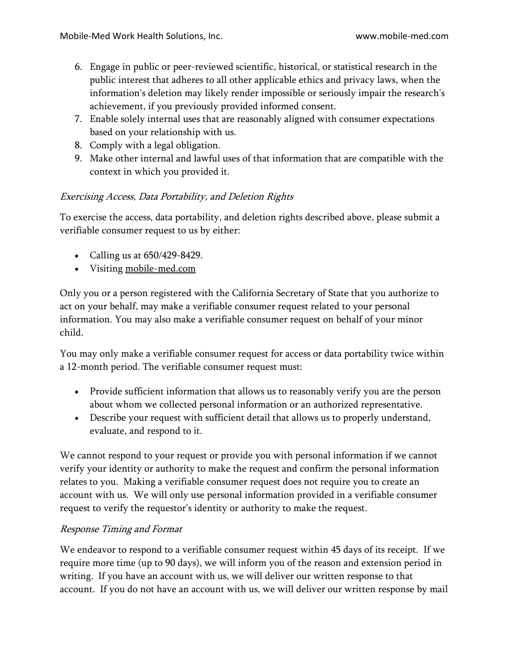- 6. Engage in public or peer-reviewed scientific, historical, or statistical research in the public interest that adheres to all other applicable ethics and privacy laws, when the information's deletion may likely render impossible or seriously impair the research's achievement, if you previously provided informed consent.
- 7. Enable solely internal uses that are reasonably aligned with consumer expectations based on your relationship with us.
- 8. Comply with a legal obligation.
- 9. Make other internal and lawful uses of that information that are compatible with the context in which you provided it.

# Exercising Access, Data Portability, and Deletion Rights

To exercise the access, data portability, and deletion rights described above, please submit a verifiable consumer request to us by either:

- Calling us at 650/429-8429.
- Visiting [mobile-med.com](http://www.hornellp.com/)

Only you or a person registered with the California Secretary of State that you authorize to act on your behalf, may make a verifiable consumer request related to your personal information. You may also make a verifiable consumer request on behalf of your minor child.

You may only make a verifiable consumer request for access or data portability twice within a 12-month period. The verifiable consumer request must:

- Provide sufficient information that allows us to reasonably verify you are the person about whom we collected personal information or an authorized representative.
- Describe your request with sufficient detail that allows us to properly understand, evaluate, and respond to it.

We cannot respond to your request or provide you with personal information if we cannot verify your identity or authority to make the request and confirm the personal information relates to you. Making a verifiable consumer request does not require you to create an account with us. We will only use personal information provided in a verifiable consumer request to verify the requestor's identity or authority to make the request.

# Response Timing and Format

We endeavor to respond to a verifiable consumer request within 45 days of its receipt. If we require more time (up to 90 days), we will inform you of the reason and extension period in writing. If you have an account with us, we will deliver our written response to that account. If you do not have an account with us, we will deliver our written response by mail